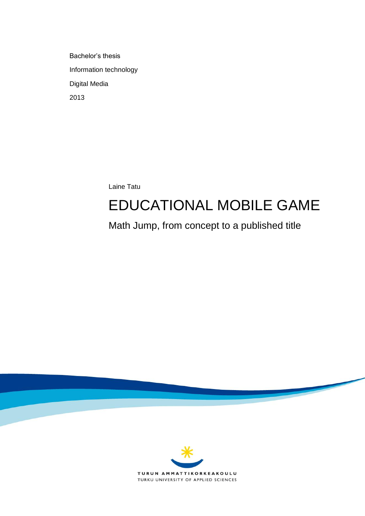Bachelor's thesis Information technology Digital Media 2013

Laine Tatu

# EDUCATIONAL MOBILE GAME

Math Jump, from concept to a published title

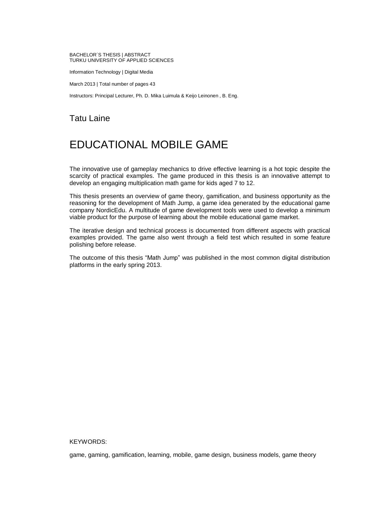#### BACHELOR´S THESIS | ABSTRACT TURKU UNIVERSITY OF APPLIED SCIENCES

Information Technology | Digital Media

March 2013 | Total number of pages 43

Instructors: Principal Lecturer, Ph. D. Mika Luimula & Keijo Leinonen , B. Eng.

### Tatu Laine

## EDUCATIONAL MOBILE GAME

The innovative use of gameplay mechanics to drive effective learning is a hot topic despite the scarcity of practical examples. The game produced in this thesis is an innovative attempt to develop an engaging multiplication math game for kids aged 7 to 12.

This thesis presents an overview of game theory, gamification, and business opportunity as the reasoning for the development of Math Jump, a game idea generated by the educational game company NordicEdu. A multitude of game development tools were used to develop a minimum viable product for the purpose of learning about the mobile educational game market.

The iterative design and technical process is documented from different aspects with practical examples provided. The game also went through a field test which resulted in some feature polishing before release.

The outcome of this thesis "Math Jump" was published in the most common digital distribution platforms in the early spring 2013.

#### KEYWORDS:

game, gaming, gamification, learning, mobile, game design, business models, game theory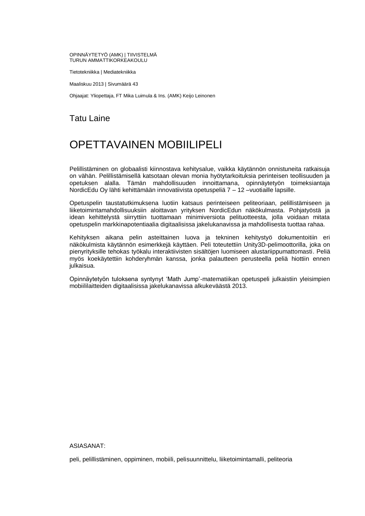#### OPINNÄYTETYÖ (AMK) | TIIVISTELMÄ TURUN AMMATTIKORKEAKOULU

Tietotekniikka | Mediatekniikka

Maaliskuu 2013 | Sivumäärä 43

Ohjaajat: Yliopettaja, FT Mika Luimula & Ins. (AMK) Keijo Leinonen

### Tatu Laine

## OPETTAVAINEN MOBIILIPELI

Pelillistäminen on globaalisti kiinnostava kehitysalue, vaikka käytännön onnistuneita ratkaisuja on vähän. Pelillistämisellä katsotaan olevan monia hyötytarkoituksia perinteisen teollisuuden ja opetuksen alalla. Tämän mahdollisuuden innoittamana, opinnäytetyön toimeksiantaja NordicEdu Oy lähti kehittämään innovatiivista opetuspeliä 7 – 12 –vuotiaille lapsille.

Opetuspelin taustatutkimuksena luotiin katsaus perinteiseen peliteoriaan, pelillistämiseen ja liiketoimintamahdollisuuksiin aloittavan yrityksen NordicEdun näkökulmasta. Pohjatyöstä ja idean kehittelystä siirryttiin tuottamaan minimiversiota pelituotteesta, jolla voidaan mitata opetuspelin markkinapotentiaalia digitaalisissa jakelukanavissa ja mahdollisesta tuottaa rahaa.

Kehityksen aikana pelin asteittainen luova ja tekninen kehitystyö dokumentoitiin eri näkökulmista käytännön esimerkkejä käyttäen. Peli toteutettiin Unity3D-pelimoottorilla, joka on pienyrityksille tehokas työkalu interaktiivisten sisältöjen luomiseen alustariippumattomasti. Peliä myös koekäytettiin kohderyhmän kanssa, jonka palautteen perusteella peliä hiottiin ennen julkaisua.

Opinnäytetyön tuloksena syntynyt 'Math Jump'-matematiikan opetuspeli julkaistiin yleisimpien mobiililaitteiden digitaalisissa jakelukanavissa alkukeväästä 2013.

#### ASIASANAT:

peli, pelillistäminen, oppiminen, mobiili, pelisuunnittelu, liiketoimintamalli, peliteoria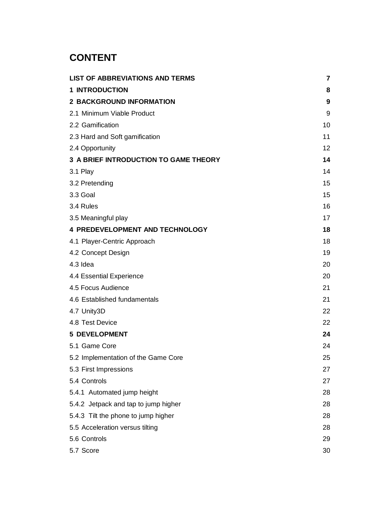## **CONTENT**

| <b>LIST OF ABBREVIATIONS AND TERMS</b> | $\overline{7}$ |
|----------------------------------------|----------------|
| <b>1 INTRODUCTION</b>                  | 8              |
| <b>2 BACKGROUND INFORMATION</b>        | 9              |
| 2.1 Minimum Viable Product             | 9              |
| 2.2 Gamification                       | 10             |
| 2.3 Hard and Soft gamification         | 11             |
| 2.4 Opportunity                        | 12             |
| 3 A BRIEF INTRODUCTION TO GAME THEORY  | 14             |
| 3.1 Play                               | 14             |
| 3.2 Pretending                         | 15             |
| 3.3 Goal                               | 15             |
| 3.4 Rules                              | 16             |
| 3.5 Meaningful play                    | 17             |
| <b>4 PREDEVELOPMENT AND TECHNOLOGY</b> | 18             |
| 4.1 Player-Centric Approach            | 18             |
| 4.2 Concept Design                     | 19             |
| 4.3 Idea                               | 20             |
| 4.4 Essential Experience               | 20             |
| 4.5 Focus Audience                     | 21             |
| 4.6 Established fundamentals           | 21             |
| 4.7 Unity3D                            | 22             |
| 4.8 Test Device                        | 22             |
| <b>5 DEVELOPMENT</b>                   | 24             |
| 5.1 Game Core                          | 24             |
| 5.2 Implementation of the Game Core    | 25             |
| 5.3 First Impressions                  | 27             |
| 5.4 Controls                           | 27             |
| 5.4.1 Automated jump height            | 28             |
| 5.4.2 Jetpack and tap to jump higher   | 28             |
| 5.4.3 Tilt the phone to jump higher    | 28             |
| 5.5 Acceleration versus tilting        | 28             |
| 5.6 Controls                           | 29             |
| 5.7 Score                              | 30             |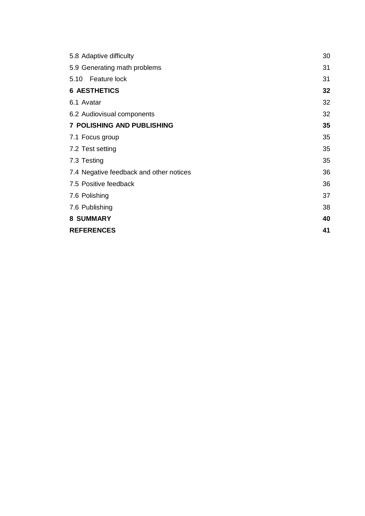| 5.8 Adaptive difficulty                 | 30 |
|-----------------------------------------|----|
| 5.9 Generating math problems            | 31 |
| 5.10 Feature lock                       | 31 |
| <b>6 AESTHETICS</b>                     | 32 |
| 6.1 Avatar                              | 32 |
| 6.2 Audiovisual components              | 32 |
| <b>7 POLISHING AND PUBLISHING</b>       | 35 |
| 7.1 Focus group                         | 35 |
| 7.2 Test setting                        | 35 |
| 7.3 Testing                             | 35 |
| 7.4 Negative feedback and other notices | 36 |
| 7.5 Positive feedback                   | 36 |
| 7.6 Polishing                           | 37 |
| 7.6 Publishing                          | 38 |
| <b>8 SUMMARY</b>                        | 40 |
| <b>REFERENCES</b>                       | 41 |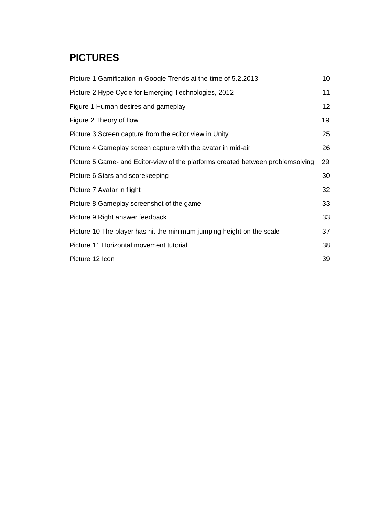## **PICTURES**

| Picture 1 Gamification in Google Trends at the time of 5.2.2013                 | 10 |
|---------------------------------------------------------------------------------|----|
| Picture 2 Hype Cycle for Emerging Technologies, 2012                            | 11 |
| Figure 1 Human desires and gameplay                                             | 12 |
| Figure 2 Theory of flow                                                         | 19 |
| Picture 3 Screen capture from the editor view in Unity                          | 25 |
| Picture 4 Gameplay screen capture with the avatar in mid-air                    | 26 |
| Picture 5 Game- and Editor-view of the platforms created between problemsolving | 29 |
| Picture 6 Stars and scorekeeping                                                | 30 |
| Picture 7 Avatar in flight                                                      | 32 |
| Picture 8 Gameplay screenshot of the game                                       | 33 |
| Picture 9 Right answer feedback                                                 | 33 |
| Picture 10 The player has hit the minimum jumping height on the scale           | 37 |
| Picture 11 Horizontal movement tutorial                                         | 38 |
| Picture 12 Icon                                                                 | 39 |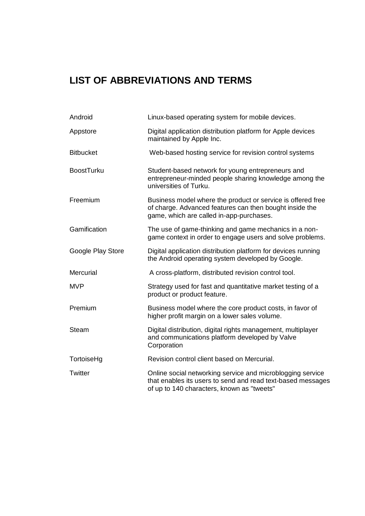## <span id="page-6-0"></span>**LIST OF ABBREVIATIONS AND TERMS**

| Android           | Linux-based operating system for mobile devices.                                                                                                                        |
|-------------------|-------------------------------------------------------------------------------------------------------------------------------------------------------------------------|
| Appstore          | Digital application distribution platform for Apple devices<br>maintained by Apple Inc.                                                                                 |
| <b>Bitbucket</b>  | Web-based hosting service for revision control systems                                                                                                                  |
| <b>BoostTurku</b> | Student-based network for young entrepreneurs and<br>entrepreneur-minded people sharing knowledge among the<br>universities of Turku.                                   |
| Freemium          | Business model where the product or service is offered free<br>of charge. Advanced features can then bought inside the<br>game, which are called in-app-purchases.      |
| Gamification      | The use of game-thinking and game mechanics in a non-<br>game context in order to engage users and solve problems.                                                      |
| Google Play Store | Digital application distribution platform for devices running<br>the Android operating system developed by Google.                                                      |
| Mercurial         | A cross-platform, distributed revision control tool.                                                                                                                    |
| <b>MVP</b>        | Strategy used for fast and quantitative market testing of a<br>product or product feature.                                                                              |
| Premium           | Business model where the core product costs, in favor of<br>higher profit margin on a lower sales volume.                                                               |
| Steam             | Digital distribution, digital rights management, multiplayer<br>and communications platform developed by Valve<br>Corporation                                           |
| TortoiseHg        | Revision control client based on Mercurial.                                                                                                                             |
| Twitter           | Online social networking service and microblogging service<br>that enables its users to send and read text-based messages<br>of up to 140 characters, known as "tweets" |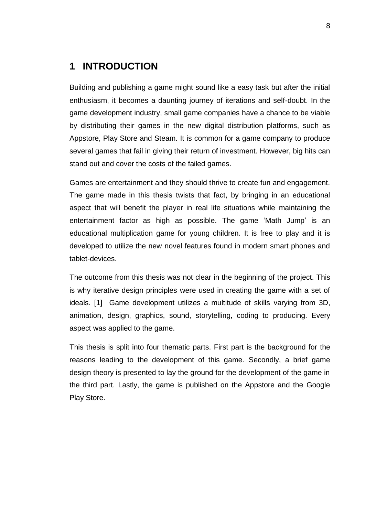## <span id="page-7-0"></span>**1 INTRODUCTION**

Building and publishing a game might sound like a easy task but after the initial enthusiasm, it becomes a daunting journey of iterations and self-doubt. In the game development industry, small game companies have a chance to be viable by distributing their games in the new digital distribution platforms, such as Appstore, Play Store and Steam. It is common for a game company to produce several games that fail in giving their return of investment. However, big hits can stand out and cover the costs of the failed games.

Games are entertainment and they should thrive to create fun and engagement. The game made in this thesis twists that fact, by bringing in an educational aspect that will benefit the player in real life situations while maintaining the entertainment factor as high as possible. The game 'Math Jump' is an educational multiplication game for young children. It is free to play and it is developed to utilize the new novel features found in modern smart phones and tablet-devices.

The outcome from this thesis was not clear in the beginning of the project. This is why iterative design principles were used in creating the game with a set of ideals. [1] Game development utilizes a multitude of skills varying from 3D, animation, design, graphics, sound, storytelling, coding to producing. Every aspect was applied to the game.

This thesis is split into four thematic parts. First part is the background for the reasons leading to the development of this game. Secondly, a brief game design theory is presented to lay the ground for the development of the game in the third part. Lastly, the game is published on the Appstore and the Google Play Store.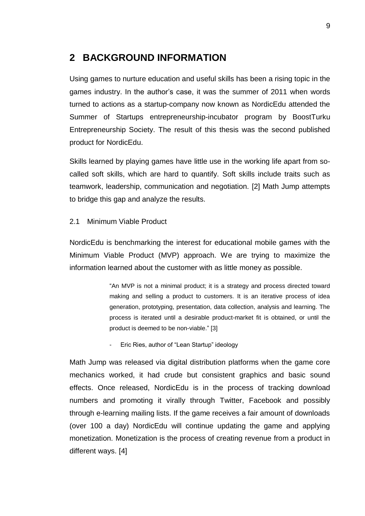### <span id="page-8-0"></span>**2 BACKGROUND INFORMATION**

Using games to nurture education and useful skills has been a rising topic in the games industry. In the author's case, it was the summer of 2011 when words turned to actions as a startup-company now known as NordicEdu attended the Summer of Startups entrepreneurship-incubator program by BoostTurku Entrepreneurship Society. The result of this thesis was the second published product for NordicEdu.

Skills learned by playing games have little use in the working life apart from socalled soft skills, which are hard to quantify. Soft skills include traits such as teamwork, leadership, communication and negotiation. [2] Math Jump attempts to bridge this gap and analyze the results.

#### <span id="page-8-1"></span>2.1 Minimum Viable Product

NordicEdu is benchmarking the interest for educational mobile games with the Minimum Viable Product (MVP) approach. We are trying to maximize the information learned about the customer with as little money as possible.

> "An MVP is not a minimal product; it is a strategy and process directed toward making and selling a product to customers. It is an iterative process of idea generation, prototyping, presentation, data collection, analysis and learning. The process is iterated until a desirable product-market fit is obtained, or until the product is deemed to be non-viable." [3]

- Eric Ries, author of "Lean Startup" ideology

Math Jump was released via digital distribution platforms when the game core mechanics worked, it had crude but consistent graphics and basic sound effects. Once released, NordicEdu is in the process of tracking download numbers and promoting it virally through Twitter, Facebook and possibly through e-learning mailing lists. If the game receives a fair amount of downloads (over 100 a day) NordicEdu will continue updating the game and applying monetization. Monetization is the process of creating revenue from a product in different ways. [4]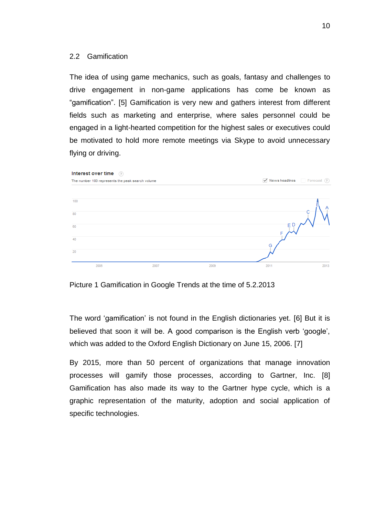#### <span id="page-9-0"></span>2.2 Gamification

The idea of using game mechanics, such as goals, fantasy and challenges to drive engagement in non-game applications has come be known as "gamification". [5] Gamification is very new and gathers interest from different fields such as marketing and enterprise, where sales personnel could be engaged in a light-hearted competition for the highest sales or executives could be motivated to hold more remote meetings via Skype to avoid unnecessary flying or driving.



Picture 1 Gamification in Google Trends at the time of 5.2.2013

The word 'gamification' is not found in the English dictionaries yet. [6] But it is believed that soon it will be. A good comparison is the English verb 'google', which was added to the Oxford English Dictionary on June 15, 2006. [7]

By 2015, more than 50 percent of organizations that manage innovation processes will gamify those processes, according to Gartner, Inc. [8] Gamification has also made its way to the Gartner hype cycle, which is a graphic representation of the maturity, adoption and social application of specific technologies.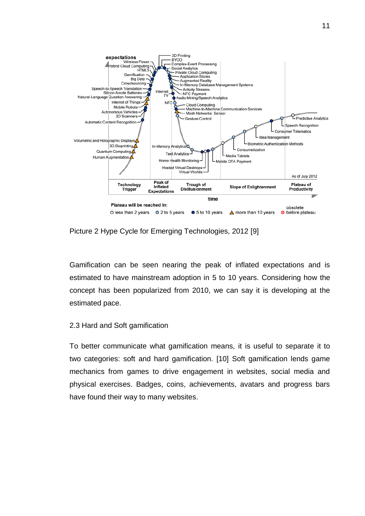

Picture 2 Hype Cycle for Emerging Technologies, 2012 [9]

Gamification can be seen nearing the peak of inflated expectations and is estimated to have mainstream adoption in 5 to 10 years. Considering how the concept has been popularized from 2010, we can say it is developing at the estimated pace.

#### <span id="page-10-0"></span>2.3 Hard and Soft gamification

To better communicate what gamification means, it is useful to separate it to two categories: soft and hard gamification. [10] Soft gamification lends game mechanics from games to drive engagement in websites, social media and physical exercises. Badges, coins, achievements, avatars and progress bars have found their way to many websites.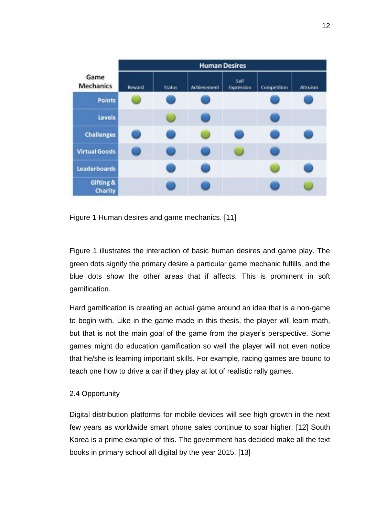| Game<br><b>Mechanics</b> | <b>Human Desires</b> |               |             |                    |             |          |
|--------------------------|----------------------|---------------|-------------|--------------------|-------------|----------|
|                          | Reward               | <b>Status</b> | Achievement | Self<br>Expression | Competition | Altruism |
| <b>Points</b>            |                      |               |             |                    |             |          |
| Levels                   |                      |               |             |                    |             |          |
| <b>Challenges</b>        |                      |               |             |                    |             |          |
| <b>Virtual Goods</b>     |                      |               |             |                    |             |          |
| <b>Leaderboards</b>      |                      |               |             |                    |             |          |
| Gifting &<br>Charity     |                      |               |             |                    |             |          |

Figure 1 Human desires and game mechanics. [11]

Figure 1 illustrates the interaction of basic human desires and game play. The green dots signify the primary desire a particular game mechanic fulfills, and the blue dots show the other areas that if affects. This is prominent in soft gamification.

Hard gamification is creating an actual game around an idea that is a non-game to begin with. Like in the game made in this thesis, the player will learn math, but that is not the main goal of the game from the player's perspective. Some games might do education gamification so well the player will not even notice that he/she is learning important skills. For example, racing games are bound to teach one how to drive a car if they play at lot of realistic rally games.

#### <span id="page-11-0"></span>2.4 Opportunity

Digital distribution platforms for mobile devices will see high growth in the next few years as worldwide smart phone sales continue to soar higher. [12] South Korea is a prime example of this. The government has decided make all the text books in primary school all digital by the year 2015. [13]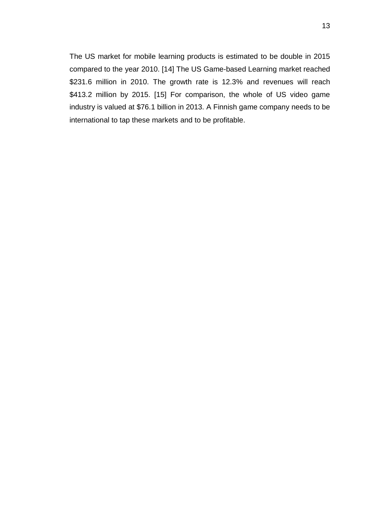The US market for mobile learning products is estimated to be double in 2015 compared to the year 2010. [14] The US Game-based Learning market reached \$231.6 million in 2010. The growth rate is 12.3% and revenues will reach \$413.2 million by 2015. [15] For comparison, the whole of US video game industry is valued at \$76.1 billion in 2013. A Finnish game company needs to be international to tap these markets and to be profitable.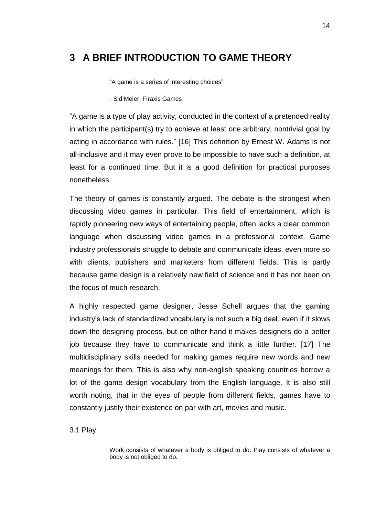## <span id="page-13-0"></span>**3 A BRIEF INTRODUCTION TO GAME THEORY**

"A game is a series of interesting choices"

- Sid Meier, Firaxis Games

"A game is a type of play activity, conducted in the context of a pretended reality in which the participant(s) try to achieve at least one arbitrary, nontrivial goal by acting in accordance with rules." [16] This definition by Ernest W. Adams is not all-inclusive and it may even prove to be impossible to have such a definition, at least for a continued time. But it is a good definition for practical purposes nonetheless.

The theory of games is constantly argued. The debate is the strongest when discussing video games in particular. This field of entertainment, which is rapidly pioneering new ways of entertaining people, often lacks a clear common language when discussing video games in a professional context. Game industry professionals struggle to debate and communicate ideas, even more so with clients, publishers and marketers from different fields. This is partly because game design is a relatively new field of science and it has not been on the focus of much research.

A highly respected game designer, Jesse Schell argues that the gaming industry's lack of standardized vocabulary is not such a big deal, even if it slows down the designing process, but on other hand it makes designers do a better job because they have to communicate and think a little further. [17] The multidisciplinary skills needed for making games require new words and new meanings for them. This is also why non-english speaking countries borrow a lot of the game design vocabulary from the English language. It is also still worth noting, that in the eyes of people from different fields, games have to constantly justify their existence on par with art, movies and music.

<span id="page-13-1"></span>3.1 Play

Work consists of whatever a body is obliged to do. Play consists of whatever a body is not obliged to do.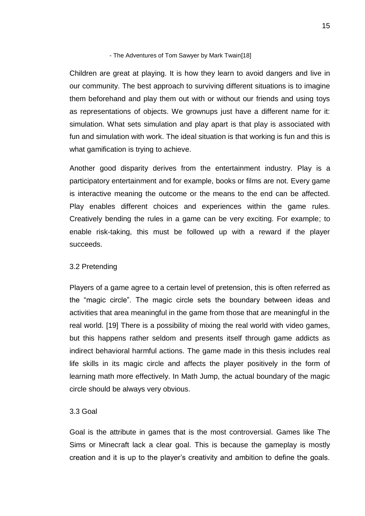#### - The Adventures of Tom Sawyer by Mark Twain[18]

Children are great at playing. It is how they learn to avoid dangers and live in our community. The best approach to surviving different situations is to imagine them beforehand and play them out with or without our friends and using toys as representations of objects. We grownups just have a different name for it: simulation. What sets simulation and play apart is that play is associated with fun and simulation with work. The ideal situation is that working is fun and this is what gamification is trying to achieve.

Another good disparity derives from the entertainment industry. Play is a participatory entertainment and for example, books or films are not. Every game is interactive meaning the outcome or the means to the end can be affected. Play enables different choices and experiences within the game rules. Creatively bending the rules in a game can be very exciting. For example; to enable risk-taking, this must be followed up with a reward if the player succeeds.

#### <span id="page-14-0"></span>3.2 Pretending

Players of a game agree to a certain level of pretension, this is often referred as the "magic circle". The magic circle sets the boundary between ideas and activities that area meaningful in the game from those that are meaningful in the real world. [19] There is a possibility of mixing the real world with video games, but this happens rather seldom and presents itself through game addicts as indirect behavioral harmful actions. The game made in this thesis includes real life skills in its magic circle and affects the player positively in the form of learning math more effectively. In Math Jump, the actual boundary of the magic circle should be always very obvious.

#### <span id="page-14-1"></span>3.3 Goal

Goal is the attribute in games that is the most controversial. Games like The Sims or Minecraft lack a clear goal. This is because the gameplay is mostly creation and it is up to the player's creativity and ambition to define the goals.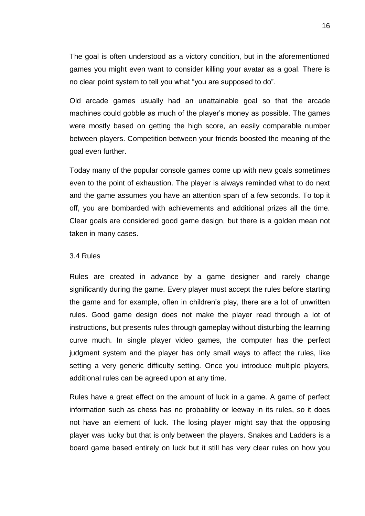The goal is often understood as a victory condition, but in the aforementioned games you might even want to consider killing your avatar as a goal. There is no clear point system to tell you what "you are supposed to do".

Old arcade games usually had an unattainable goal so that the arcade machines could gobble as much of the player's money as possible. The games were mostly based on getting the high score, an easily comparable number between players. Competition between your friends boosted the meaning of the goal even further.

Today many of the popular console games come up with new goals sometimes even to the point of exhaustion. The player is always reminded what to do next and the game assumes you have an attention span of a few seconds. To top it off, you are bombarded with achievements and additional prizes all the time. Clear goals are considered good game design, but there is a golden mean not taken in many cases.

#### <span id="page-15-0"></span>3.4 Rules

Rules are created in advance by a game designer and rarely change significantly during the game. Every player must accept the rules before starting the game and for example, often in children's play, there are a lot of unwritten rules. Good game design does not make the player read through a lot of instructions, but presents rules through gameplay without disturbing the learning curve much. In single player video games, the computer has the perfect judgment system and the player has only small ways to affect the rules, like setting a very generic difficulty setting. Once you introduce multiple players, additional rules can be agreed upon at any time.

Rules have a great effect on the amount of luck in a game. A game of perfect information such as chess has no probability or leeway in its rules, so it does not have an element of luck. The losing player might say that the opposing player was lucky but that is only between the players. Snakes and Ladders is a board game based entirely on luck but it still has very clear rules on how you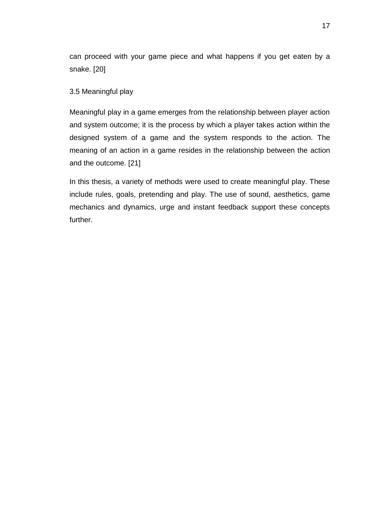can proceed with your game piece and what happens if you get eaten by a snake. [20]

#### <span id="page-16-0"></span>3.5 Meaningful play

Meaningful play in a game emerges from the relationship between player action and system outcome; it is the process by which a player takes action within the designed system of a game and the system responds to the action. The meaning of an action in a game resides in the relationship between the action and the outcome. [21]

In this thesis, a variety of methods were used to create meaningful play. These include rules, goals, pretending and play. The use of sound, aesthetics, game mechanics and dynamics, urge and instant feedback support these concepts further.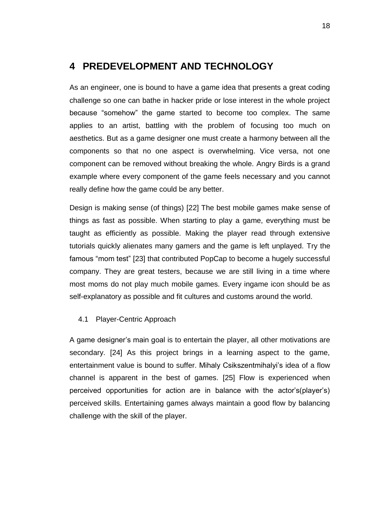## <span id="page-17-0"></span>**4 PREDEVELOPMENT AND TECHNOLOGY**

As an engineer, one is bound to have a game idea that presents a great coding challenge so one can bathe in hacker pride or lose interest in the whole project because "somehow" the game started to become too complex. The same applies to an artist, battling with the problem of focusing too much on aesthetics. But as a game designer one must create a harmony between all the components so that no one aspect is overwhelming. Vice versa, not one component can be removed without breaking the whole. Angry Birds is a grand example where every component of the game feels necessary and you cannot really define how the game could be any better.

Design is making sense (of things) [22] The best mobile games make sense of things as fast as possible. When starting to play a game, everything must be taught as efficiently as possible. Making the player read through extensive tutorials quickly alienates many gamers and the game is left unplayed. Try the famous "mom test" [23] that contributed PopCap to become a hugely successful company. They are great testers, because we are still living in a time where most moms do not play much mobile games. Every ingame icon should be as self-explanatory as possible and fit cultures and customs around the world.

#### <span id="page-17-1"></span>4.1 Player-Centric Approach

A game designer's main goal is to entertain the player, all other motivations are secondary. [24] As this project brings in a learning aspect to the game, entertainment value is bound to suffer. Mihaly Csikszentmihalyi's idea of a flow channel is apparent in the best of games. [25] Flow is experienced when perceived opportunities for action are in balance with the actor's(player's) perceived skills. Entertaining games always maintain a good flow by balancing challenge with the skill of the player.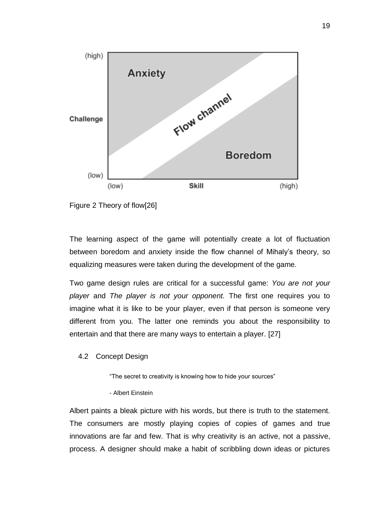

Figure 2 Theory of flow[26]

The learning aspect of the game will potentially create a lot of fluctuation between boredom and anxiety inside the flow channel of Mihaly's theory, so equalizing measures were taken during the development of the game.

Two game design rules are critical for a successful game: *You are not your player* and *The player is not your opponent.* The first one requires you to imagine what it is like to be your player, even if that person is someone very different from you. The latter one reminds you about the responsibility to entertain and that there are many ways to entertain a player. [27]

#### <span id="page-18-0"></span>4.2 Concept Design

"The secret to creativity is knowing how to hide your sources"

- Albert Einstein

Albert paints a bleak picture with his words, but there is truth to the statement. The consumers are mostly playing copies of copies of games and true innovations are far and few. That is why creativity is an active, not a passive, process. A designer should make a habit of scribbling down ideas or pictures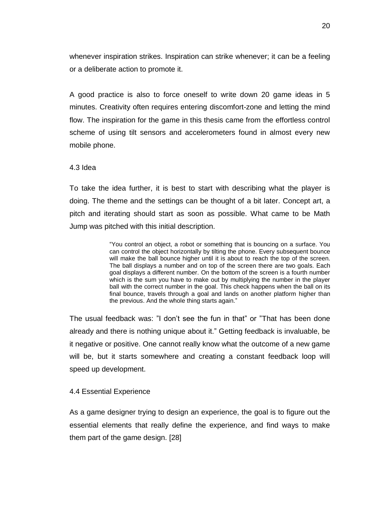whenever inspiration strikes. Inspiration can strike whenever; it can be a feeling or a deliberate action to promote it.

A good practice is also to force oneself to write down 20 game ideas in 5 minutes. Creativity often requires entering discomfort-zone and letting the mind flow. The inspiration for the game in this thesis came from the effortless control scheme of using tilt sensors and accelerometers found in almost every new mobile phone.

#### <span id="page-19-0"></span>4.3 Idea

To take the idea further, it is best to start with describing what the player is doing. The theme and the settings can be thought of a bit later. Concept art, a pitch and iterating should start as soon as possible. What came to be Math Jump was pitched with this initial description.

> "You control an object, a robot or something that is bouncing on a surface. You can control the object horizontally by tilting the phone. Every subsequent bounce will make the ball bounce higher until it is about to reach the top of the screen. The ball displays a number and on top of the screen there are two goals. Each goal displays a different number. On the bottom of the screen is a fourth number which is the sum you have to make out by multiplying the number in the player ball with the correct number in the goal. This check happens when the ball on its final bounce, travels through a goal and lands on another platform higher than the previous. And the whole thing starts again."

The usual feedback was: "I don't see the fun in that" or "That has been done already and there is nothing unique about it." Getting feedback is invaluable, be it negative or positive. One cannot really know what the outcome of a new game will be, but it starts somewhere and creating a constant feedback loop will speed up development.

#### <span id="page-19-1"></span>4.4 Essential Experience

As a game designer trying to design an experience, the goal is to figure out the essential elements that really define the experience, and find ways to make them part of the game design. [28]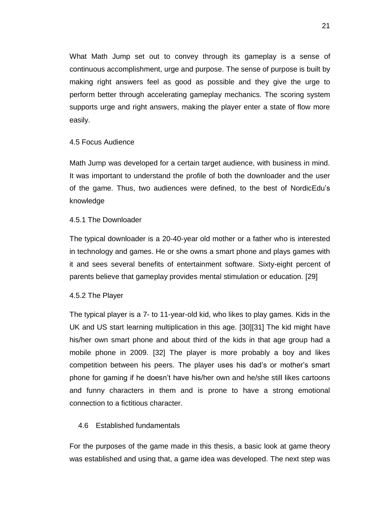What Math Jump set out to convey through its gameplay is a sense of continuous accomplishment, urge and purpose. The sense of purpose is built by making right answers feel as good as possible and they give the urge to perform better through accelerating gameplay mechanics. The scoring system supports urge and right answers, making the player enter a state of flow more easily.

#### <span id="page-20-0"></span>4.5 Focus Audience

Math Jump was developed for a certain target audience, with business in mind. It was important to understand the profile of both the downloader and the user of the game. Thus, two audiences were defined, to the best of NordicEdu's knowledge

#### 4.5.1 The Downloader

The typical downloader is a 20-40-year old mother or a father who is interested in technology and games. He or she owns a smart phone and plays games with it and sees several benefits of entertainment software. Sixty-eight percent of parents believe that gameplay provides mental stimulation or education. [29]

#### 4.5.2 The Player

The typical player is a 7- to 11-year-old kid, who likes to play games. Kids in the UK and US start learning multiplication in this age. [30][31] The kid might have his/her own smart phone and about third of the kids in that age group had a mobile phone in 2009. [32] The player is more probably a boy and likes competition between his peers. The player uses his dad's or mother's smart phone for gaming if he doesn't have his/her own and he/she still likes cartoons and funny characters in them and is prone to have a strong emotional connection to a fictitious character.

#### <span id="page-20-1"></span>4.6 Established fundamentals

For the purposes of the game made in this thesis, a basic look at game theory was established and using that, a game idea was developed. The next step was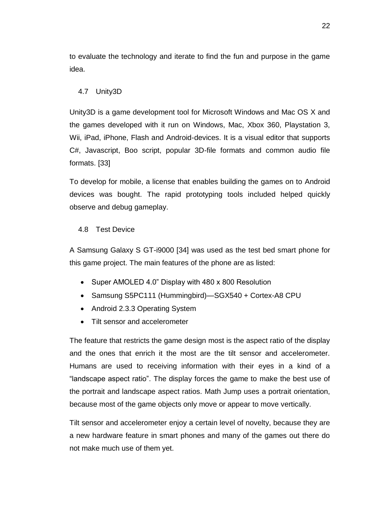to evaluate the technology and iterate to find the fun and purpose in the game idea.

#### <span id="page-21-0"></span>4.7 Unity3D

Unity3D is a game development tool for Microsoft Windows and Mac OS X and the games developed with it run on Windows, Mac, Xbox 360, Playstation 3, Wii, iPad, iPhone, Flash and Android-devices. It is a visual editor that supports C#, Javascript, Boo script, popular 3D-file formats and common audio file formats. [33]

To develop for mobile, a license that enables building the games on to Android devices was bought. The rapid prototyping tools included helped quickly observe and debug gameplay.

#### <span id="page-21-1"></span>4.8 Test Device

A Samsung Galaxy S GT-i9000 [34] was used as the test bed smart phone for this game project. The main features of the phone are as listed:

- Super AMOLED 4.0" Display with 480 x 800 Resolution
- Samsung S5PC111 (Hummingbird)—SGX540 + Cortex-A8 CPU
- Android 2.3.3 Operating System
- Tilt sensor and accelerometer

The feature that restricts the game design most is the aspect ratio of the display and the ones that enrich it the most are the tilt sensor and accelerometer. Humans are used to receiving information with their eyes in a kind of a "landscape aspect ratio". The display forces the game to make the best use of the portrait and landscape aspect ratios. Math Jump uses a portrait orientation, because most of the game objects only move or appear to move vertically.

Tilt sensor and accelerometer enjoy a certain level of novelty, because they are a new hardware feature in smart phones and many of the games out there do not make much use of them yet.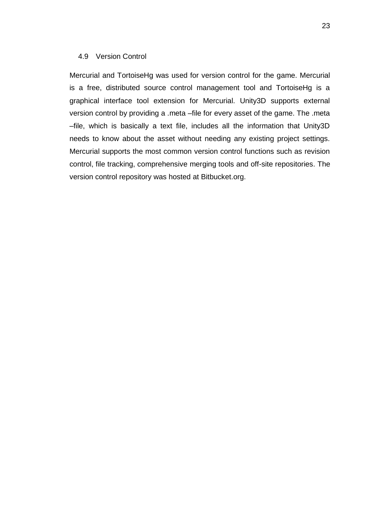#### 4.9 Version Control

Mercurial and TortoiseHg was used for version control for the game. Mercurial is a free, distributed source control management tool and TortoiseHg is a graphical interface tool extension for Mercurial. Unity3D supports external version control by providing a .meta –file for every asset of the game. The .meta –file, which is basically a text file, includes all the information that Unity3D needs to know about the asset without needing any existing project settings. Mercurial supports the most common version control functions such as revision control, file tracking, comprehensive merging tools and off-site repositories. The version control repository was hosted at Bitbucket.org.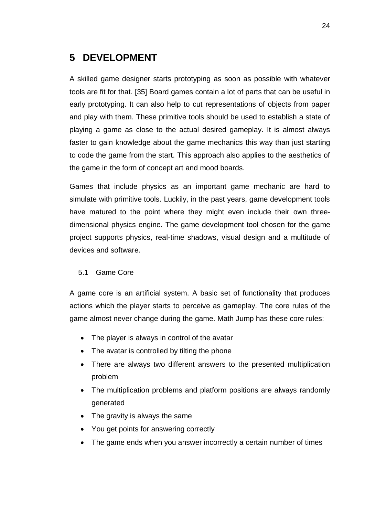## <span id="page-23-0"></span>**5 DEVELOPMENT**

A skilled game designer starts prototyping as soon as possible with whatever tools are fit for that. [35] Board games contain a lot of parts that can be useful in early prototyping. It can also help to cut representations of objects from paper and play with them. These primitive tools should be used to establish a state of playing a game as close to the actual desired gameplay. It is almost always faster to gain knowledge about the game mechanics this way than just starting to code the game from the start. This approach also applies to the aesthetics of the game in the form of concept art and mood boards.

Games that include physics as an important game mechanic are hard to simulate with primitive tools. Luckily, in the past years, game development tools have matured to the point where they might even include their own threedimensional physics engine. The game development tool chosen for the game project supports physics, real-time shadows, visual design and a multitude of devices and software.

#### <span id="page-23-1"></span>5.1 Game Core

A game core is an artificial system. A basic set of functionality that produces actions which the player starts to perceive as gameplay. The core rules of the game almost never change during the game. Math Jump has these core rules:

- The player is always in control of the avatar
- The avatar is controlled by tilting the phone
- There are always two different answers to the presented multiplication problem
- The multiplication problems and platform positions are always randomly generated
- The gravity is always the same
- You get points for answering correctly
- The game ends when you answer incorrectly a certain number of times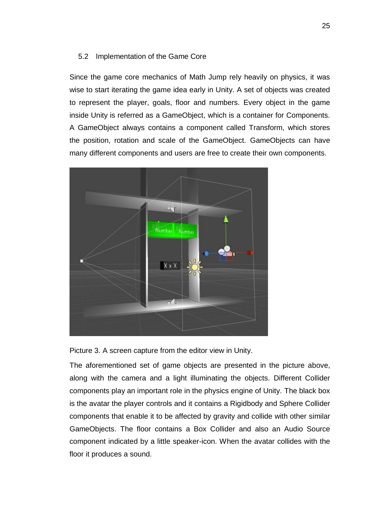#### <span id="page-24-0"></span>5.2 Implementation of the Game Core

Since the game core mechanics of Math Jump rely heavily on physics, it was wise to start iterating the game idea early in Unity. A set of objects was created to represent the player, goals, floor and numbers. Every object in the game inside Unity is referred as a GameObject, which is a container for Components. A GameObject always contains a component called Transform, which stores the position, rotation and scale of the GameObject. GameObjects can have many different components and users are free to create their own components.



Picture 3. A screen capture from the editor view in Unity.

The aforementioned set of game objects are presented in the picture above, along with the camera and a light illuminating the objects. Different Collider components play an important role in the physics engine of Unity. The black box is the avatar the player controls and it contains a Rigidbody and Sphere Collider components that enable it to be affected by gravity and collide with other similar GameObjects. The floor contains a Box Collider and also an Audio Source component indicated by a little speaker-icon. When the avatar collides with the floor it produces a sound.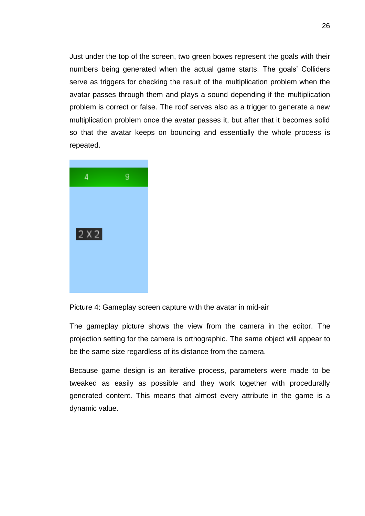Just under the top of the screen, two green boxes represent the goals with their numbers being generated when the actual game starts. The goals' Colliders serve as triggers for checking the result of the multiplication problem when the avatar passes through them and plays a sound depending if the multiplication problem is correct or false. The roof serves also as a trigger to generate a new multiplication problem once the avatar passes it, but after that it becomes solid so that the avatar keeps on bouncing and essentially the whole process is repeated.



Picture 4: Gameplay screen capture with the avatar in mid-air

The gameplay picture shows the view from the camera in the editor. The projection setting for the camera is orthographic. The same object will appear to be the same size regardless of its distance from the camera.

Because game design is an iterative process, parameters were made to be tweaked as easily as possible and they work together with procedurally generated content. This means that almost every attribute in the game is a dynamic value.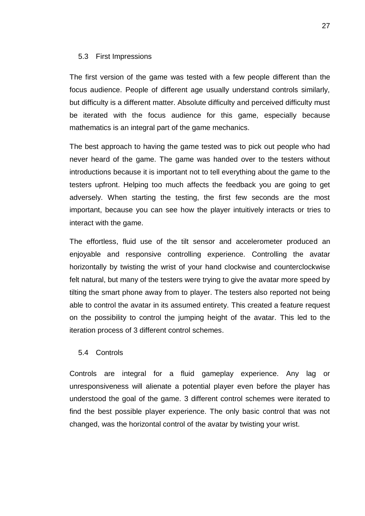#### <span id="page-26-0"></span>5.3 First Impressions

The first version of the game was tested with a few people different than the focus audience. People of different age usually understand controls similarly, but difficulty is a different matter. Absolute difficulty and perceived difficulty must be iterated with the focus audience for this game, especially because mathematics is an integral part of the game mechanics.

The best approach to having the game tested was to pick out people who had never heard of the game. The game was handed over to the testers without introductions because it is important not to tell everything about the game to the testers upfront. Helping too much affects the feedback you are going to get adversely. When starting the testing, the first few seconds are the most important, because you can see how the player intuitively interacts or tries to interact with the game.

The effortless, fluid use of the tilt sensor and accelerometer produced an enjoyable and responsive controlling experience. Controlling the avatar horizontally by twisting the wrist of your hand clockwise and counterclockwise felt natural, but many of the testers were trying to give the avatar more speed by tilting the smart phone away from to player. The testers also reported not being able to control the avatar in its assumed entirety. This created a feature request on the possibility to control the jumping height of the avatar. This led to the iteration process of 3 different control schemes.

#### <span id="page-26-1"></span>5.4 Controls

Controls are integral for a fluid gameplay experience. Any lag or unresponsiveness will alienate a potential player even before the player has understood the goal of the game. 3 different control schemes were iterated to find the best possible player experience. The only basic control that was not changed, was the horizontal control of the avatar by twisting your wrist.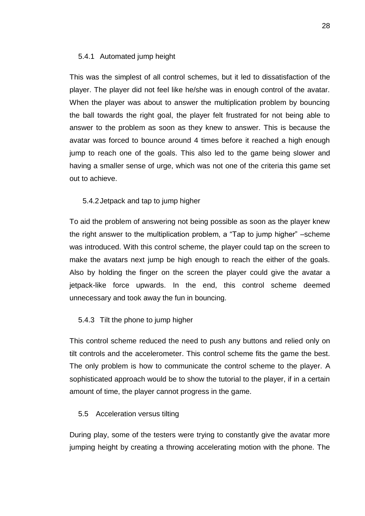#### <span id="page-27-1"></span>5.4.1 Automated jump height

This was the simplest of all control schemes, but it led to dissatisfaction of the player. The player did not feel like he/she was in enough control of the avatar. When the player was about to answer the multiplication problem by bouncing the ball towards the right goal, the player felt frustrated for not being able to answer to the problem as soon as they knew to answer. This is because the avatar was forced to bounce around 4 times before it reached a high enough jump to reach one of the goals. This also led to the game being slower and having a smaller sense of urge, which was not one of the criteria this game set out to achieve.

#### <span id="page-27-2"></span>5.4.2Jetpack and tap to jump higher

To aid the problem of answering not being possible as soon as the player knew the right answer to the multiplication problem, a "Tap to jump higher" –scheme was introduced. With this control scheme, the player could tap on the screen to make the avatars next jump be high enough to reach the either of the goals. Also by holding the finger on the screen the player could give the avatar a jetpack-like force upwards. In the end, this control scheme deemed unnecessary and took away the fun in bouncing.

#### <span id="page-27-3"></span>5.4.3 Tilt the phone to jump higher

This control scheme reduced the need to push any buttons and relied only on tilt controls and the accelerometer. This control scheme fits the game the best. The only problem is how to communicate the control scheme to the player. A sophisticated approach would be to show the tutorial to the player, if in a certain amount of time, the player cannot progress in the game.

#### <span id="page-27-0"></span>5.5 Acceleration versus tilting

During play, some of the testers were trying to constantly give the avatar more jumping height by creating a throwing accelerating motion with the phone. The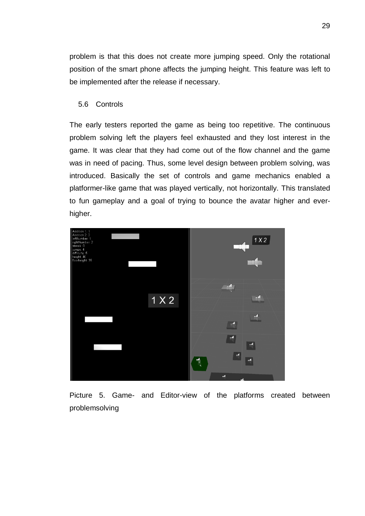problem is that this does not create more jumping speed. Only the rotational position of the smart phone affects the jumping height. This feature was left to be implemented after the release if necessary.

#### <span id="page-28-0"></span>5.6 Controls

The early testers reported the game as being too repetitive. The continuous problem solving left the players feel exhausted and they lost interest in the game. It was clear that they had come out of the flow channel and the game was in need of pacing. Thus, some level design between problem solving, was introduced. Basically the set of controls and game mechanics enabled a platformer-like game that was played vertically, not horizontally. This translated to fun gameplay and a goal of trying to bounce the avatar higher and everhigher.



Picture 5. Game- and Editor-view of the platforms created between problemsolving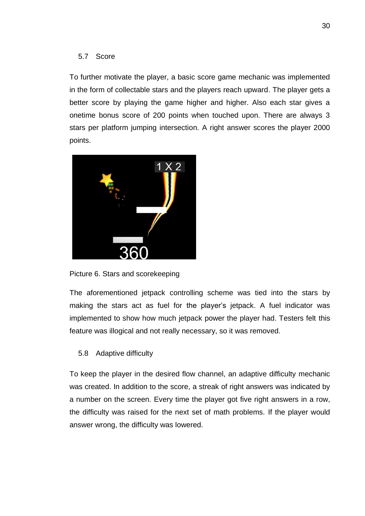#### <span id="page-29-0"></span>5.7 Score

To further motivate the player, a basic score game mechanic was implemented in the form of collectable stars and the players reach upward. The player gets a better score by playing the game higher and higher. Also each star gives a onetime bonus score of 200 points when touched upon. There are always 3 stars per platform jumping intersection. A right answer scores the player 2000 points.



Picture 6. Stars and scorekeeping

The aforementioned jetpack controlling scheme was tied into the stars by making the stars act as fuel for the player's jetpack. A fuel indicator was implemented to show how much jetpack power the player had. Testers felt this feature was illogical and not really necessary, so it was removed.

### <span id="page-29-1"></span>5.8 Adaptive difficulty

To keep the player in the desired flow channel, an adaptive difficulty mechanic was created. In addition to the score, a streak of right answers was indicated by a number on the screen. Every time the player got five right answers in a row, the difficulty was raised for the next set of math problems. If the player would answer wrong, the difficulty was lowered.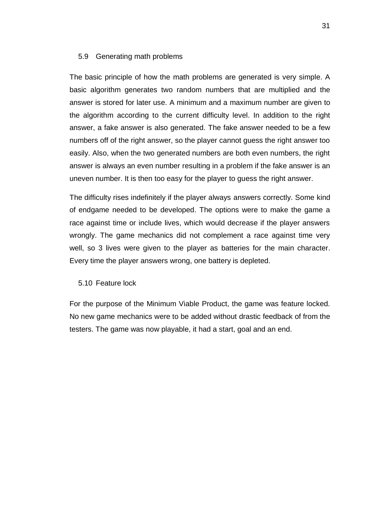#### <span id="page-30-0"></span>5.9 Generating math problems

The basic principle of how the math problems are generated is very simple. A basic algorithm generates two random numbers that are multiplied and the answer is stored for later use. A minimum and a maximum number are given to the algorithm according to the current difficulty level. In addition to the right answer, a fake answer is also generated. The fake answer needed to be a few numbers off of the right answer, so the player cannot guess the right answer too easily. Also, when the two generated numbers are both even numbers, the right answer is always an even number resulting in a problem if the fake answer is an uneven number. It is then too easy for the player to guess the right answer.

The difficulty rises indefinitely if the player always answers correctly. Some kind of endgame needed to be developed. The options were to make the game a race against time or include lives, which would decrease if the player answers wrongly. The game mechanics did not complement a race against time very well, so 3 lives were given to the player as batteries for the main character. Every time the player answers wrong, one battery is depleted.

#### <span id="page-30-1"></span>5.10 Feature lock

For the purpose of the Minimum Viable Product, the game was feature locked. No new game mechanics were to be added without drastic feedback of from the testers. The game was now playable, it had a start, goal and an end.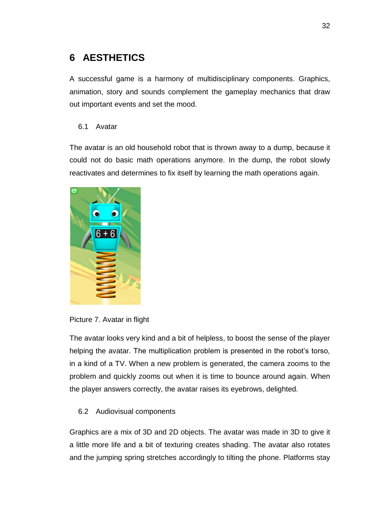## <span id="page-31-0"></span>**6 AESTHETICS**

A successful game is a harmony of multidisciplinary components. Graphics, animation, story and sounds complement the gameplay mechanics that draw out important events and set the mood.

#### <span id="page-31-1"></span>6.1 Avatar

The avatar is an old household robot that is thrown away to a dump, because it could not do basic math operations anymore. In the dump, the robot slowly reactivates and determines to fix itself by learning the math operations again.





The avatar looks very kind and a bit of helpless, to boost the sense of the player helping the avatar. The multiplication problem is presented in the robot's torso, in a kind of a TV. When a new problem is generated, the camera zooms to the problem and quickly zooms out when it is time to bounce around again. When the player answers correctly, the avatar raises its eyebrows, delighted.

#### <span id="page-31-2"></span>6.2 Audiovisual components

Graphics are a mix of 3D and 2D objects. The avatar was made in 3D to give it a little more life and a bit of texturing creates shading. The avatar also rotates and the jumping spring stretches accordingly to tilting the phone. Platforms stay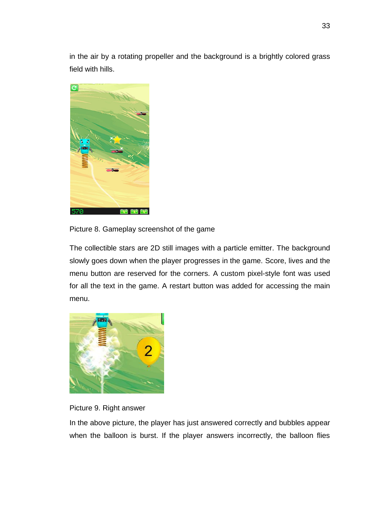in the air by a rotating propeller and the background is a brightly colored grass field with hills.



Picture 8. Gameplay screenshot of the game

The collectible stars are 2D still images with a particle emitter. The background slowly goes down when the player progresses in the game. Score, lives and the menu button are reserved for the corners. A custom pixel-style font was used for all the text in the game. A restart button was added for accessing the main menu.





In the above picture, the player has just answered correctly and bubbles appear when the balloon is burst. If the player answers incorrectly, the balloon flies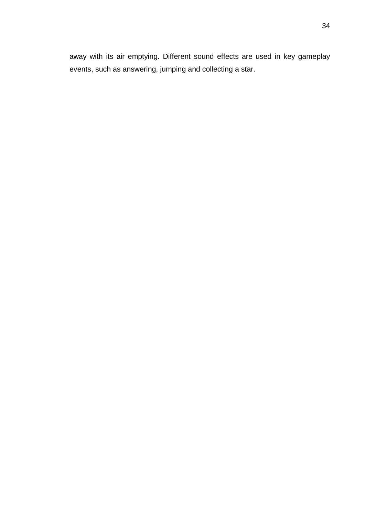away with its air emptying. Different sound effects are used in key gameplay events, such as answering, jumping and collecting a star.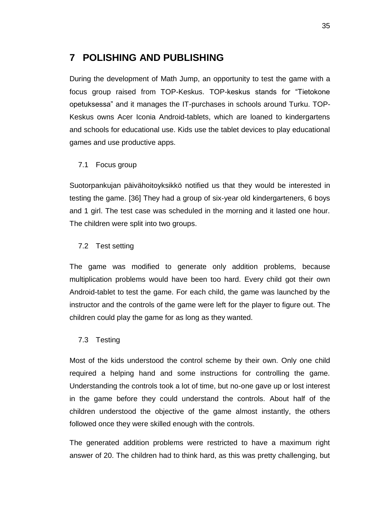### <span id="page-34-0"></span>**7 POLISHING AND PUBLISHING**

During the development of Math Jump, an opportunity to test the game with a focus group raised from TOP-Keskus. TOP-keskus stands for "Tietokone opetuksessa" and it manages the IT-purchases in schools around Turku. TOP-Keskus owns Acer Iconia Android-tablets, which are loaned to kindergartens and schools for educational use. Kids use the tablet devices to play educational games and use productive apps.

#### <span id="page-34-1"></span>7.1 Focus group

Suotorpankujan päivähoitoyksikkö notified us that they would be interested in testing the game. [36] They had a group of six-year old kindergarteners, 6 boys and 1 girl. The test case was scheduled in the morning and it lasted one hour. The children were split into two groups.

#### <span id="page-34-2"></span>7.2 Test setting

The game was modified to generate only addition problems, because multiplication problems would have been too hard. Every child got their own Android-tablet to test the game. For each child, the game was launched by the instructor and the controls of the game were left for the player to figure out. The children could play the game for as long as they wanted.

#### <span id="page-34-3"></span>7.3 Testing

Most of the kids understood the control scheme by their own. Only one child required a helping hand and some instructions for controlling the game. Understanding the controls took a lot of time, but no-one gave up or lost interest in the game before they could understand the controls. About half of the children understood the objective of the game almost instantly, the others followed once they were skilled enough with the controls.

The generated addition problems were restricted to have a maximum right answer of 20. The children had to think hard, as this was pretty challenging, but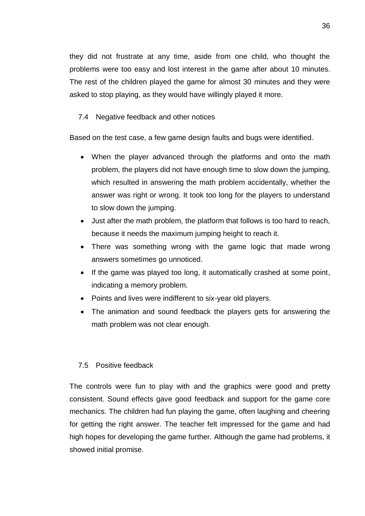they did not frustrate at any time, aside from one child, who thought the problems were too easy and lost interest in the game after about 10 minutes. The rest of the children played the game for almost 30 minutes and they were asked to stop playing, as they would have willingly played it more.

#### <span id="page-35-0"></span>7.4 Negative feedback and other notices

Based on the test case, a few game design faults and bugs were identified.

- When the player advanced through the platforms and onto the math problem, the players did not have enough time to slow down the jumping, which resulted in answering the math problem accidentally, whether the answer was right or wrong. It took too long for the players to understand to slow down the jumping.
- Just after the math problem, the platform that follows is too hard to reach, because it needs the maximum jumping height to reach it.
- There was something wrong with the game logic that made wrong answers sometimes go unnoticed.
- If the game was played too long, it automatically crashed at some point, indicating a memory problem.
- Points and lives were indifferent to six-year old players.
- The animation and sound feedback the players gets for answering the math problem was not clear enough.

#### <span id="page-35-1"></span>7.5 Positive feedback

The controls were fun to play with and the graphics were good and pretty consistent. Sound effects gave good feedback and support for the game core mechanics. The children had fun playing the game, often laughing and cheering for getting the right answer. The teacher felt impressed for the game and had high hopes for developing the game further. Although the game had problems, it showed initial promise.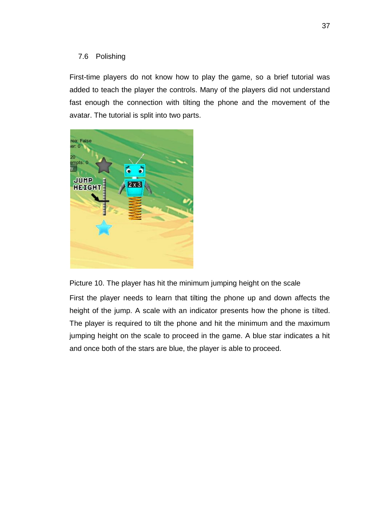#### <span id="page-36-0"></span>7.6 Polishing

First-time players do not know how to play the game, so a brief tutorial was added to teach the player the controls. Many of the players did not understand fast enough the connection with tilting the phone and the movement of the avatar. The tutorial is split into two parts.



Picture 10. The player has hit the minimum jumping height on the scale

First the player needs to learn that tilting the phone up and down affects the height of the jump. A scale with an indicator presents how the phone is tilted. The player is required to tilt the phone and hit the minimum and the maximum jumping height on the scale to proceed in the game. A blue star indicates a hit and once both of the stars are blue, the player is able to proceed.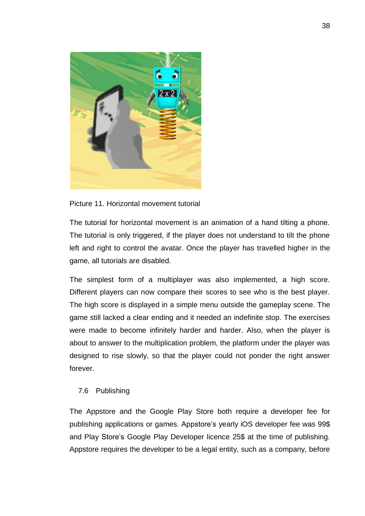

Picture 11. Horizontal movement tutorial

The tutorial for horizontal movement is an animation of a hand tilting a phone. The tutorial is only triggered, if the player does not understand to tilt the phone left and right to control the avatar. Once the player has travelled higher in the game, all tutorials are disabled.

The simplest form of a multiplayer was also implemented, a high score. Different players can now compare their scores to see who is the best player. The high score is displayed in a simple menu outside the gameplay scene. The game still lacked a clear ending and it needed an indefinite stop. The exercises were made to become infinitely harder and harder. Also, when the player is about to answer to the multiplication problem, the platform under the player was designed to rise slowly, so that the player could not ponder the right answer forever.

#### <span id="page-37-0"></span>7.6 Publishing

The Appstore and the Google Play Store both require a developer fee for publishing applications or games. Appstore's yearly iOS developer fee was 99\$ and Play Store's Google Play Developer licence 25\$ at the time of publishing. Appstore requires the developer to be a legal entity, such as a company, before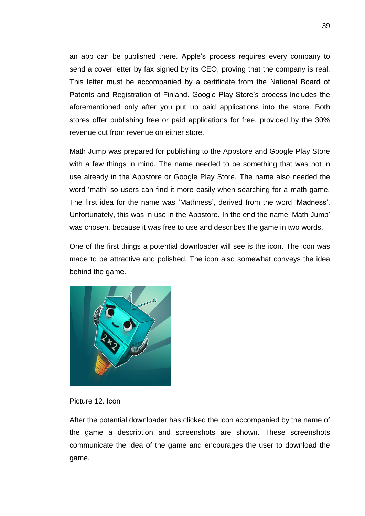an app can be published there. Apple's process requires every company to send a cover letter by fax signed by its CEO, proving that the company is real. This letter must be accompanied by a certificate from the National Board of Patents and Registration of Finland. Google Play Store's process includes the aforementioned only after you put up paid applications into the store. Both stores offer publishing free or paid applications for free, provided by the 30% revenue cut from revenue on either store.

Math Jump was prepared for publishing to the Appstore and Google Play Store with a few things in mind. The name needed to be something that was not in use already in the Appstore or Google Play Store. The name also needed the word 'math' so users can find it more easily when searching for a math game. The first idea for the name was 'Mathness', derived from the word 'Madness'. Unfortunately, this was in use in the Appstore. In the end the name 'Math Jump' was chosen, because it was free to use and describes the game in two words.

One of the first things a potential downloader will see is the icon. The icon was made to be attractive and polished. The icon also somewhat conveys the idea behind the game.





After the potential downloader has clicked the icon accompanied by the name of the game a description and screenshots are shown. These screenshots communicate the idea of the game and encourages the user to download the game.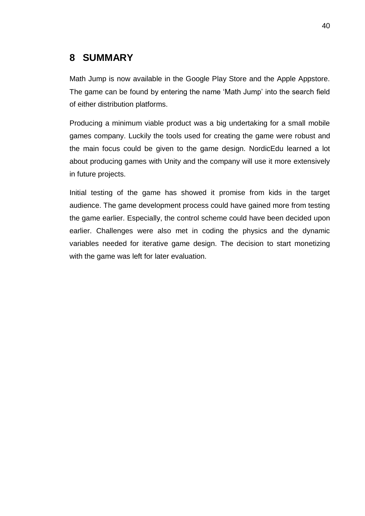## <span id="page-39-0"></span>**8 SUMMARY**

Math Jump is now available in the Google Play Store and the Apple Appstore. The game can be found by entering the name 'Math Jump' into the search field of either distribution platforms.

Producing a minimum viable product was a big undertaking for a small mobile games company. Luckily the tools used for creating the game were robust and the main focus could be given to the game design. NordicEdu learned a lot about producing games with Unity and the company will use it more extensively in future projects.

Initial testing of the game has showed it promise from kids in the target audience. The game development process could have gained more from testing the game earlier. Especially, the control scheme could have been decided upon earlier. Challenges were also met in coding the physics and the dynamic variables needed for iterative game design. The decision to start monetizing with the game was left for later evaluation.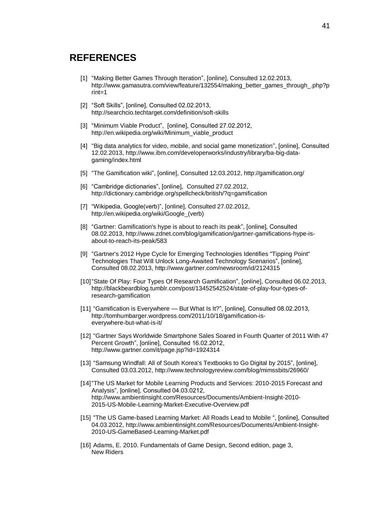### <span id="page-40-0"></span>**REFERENCES**

- [1] "Making Better Games Through Iteration", [online], Consulted 12.02.2013, http://www.gamasutra.com/view/feature/132554/making\_better\_games\_through\_.php?p rint=1
- [2] "Soft Skills", [online], Consulted 02.02.2013, http://searchcio.techtarget.com/definition/soft-skills
- [3] "Minimum Viable Product", [online], Consulted 27.02.2012. http://en.wikipedia.org/wiki/Minimum\_viable\_product
- [4] "Big data analytics for video, mobile, and social game monetization", [online], Consulted 12.02.2013, http://www.ibm.com/developerworks/industry/library/ba-big-datagaming/index.html
- [5] "The Gamification wiki", [online], Consulted 12.03.2012, http://gamification.org/
- [6] "Cambridge dictionaries", [online], Consulted 27.02.2012, http://dictionary.cambridge.org/spellcheck/british/?q=gamification
- [7] "Wikipedia, Google(verb)", [online], Consulted 27.02.2012, http://en.wikipedia.org/wiki/Google\_(verb)
- [8] "Gartner: Gamification's hype is about to reach its peak", [online], Consulted 08.02.2013, http://www.zdnet.com/blog/gamification/gartner-gamifications-hype-isabout-to-reach-its-peak/583
- [9] "Gartner's 2012 Hype Cycle for Emerging Technologies Identifies "Tipping Point" Technologies That Will Unlock Long-Awaited Technology Scenarios", [online], Consulted 08.02.2013, http://www.gartner.com/newsroom/id/2124315
- [10]"State Of Play: Four Types Of Research Gamification", [online], Consulted 06.02.2013, http://blackbeardblog.tumblr.com/post/13452542524/state-of-play-four-types-ofresearch-gamification
- [11] "Gamification is Everywhere But What Is It?", [online], Consulted 08.02.2013, http://tomhumbarger.wordpress.com/2011/10/18/gamification-iseverywhere-but-what-is-it/
- [12] "Gartner Says Worldwide Smartphone Sales Soared in Fourth Quarter of 2011 With 47 Percent Growth", [online], Consulted 16.02.2012, http://www.gartner.com/it/page.jsp?id=1924314
- [13] "Samsung Windfall: All of South Korea's Textbooks to Go Digital by 2015", [online], Consulted 03.03.2012, http://www.technologyreview.com/blog/mimssbits/26960/
- [14]"The US Market for Mobile Learning Products and Services: 2010-2015 Forecast and Analysis", [online], Consulted 04.03.0212, http://www.ambientinsight.com/Resources/Documents/Ambient-Insight-2010- 2015-US-Mobile-Learning-Market-Executive-Overview.pdf
- [15] "The US Game-based Learning Market: All Roads Lead to Mobile ", [online], Consulted 04.03.2012, http://www.ambientinsight.com/Resources/Documents/Ambient-Insight-2010-US-GameBased-Learning-Market.pdf
- [16] Adams, E. 2010. Fundamentals of Game Design, Second edition, page 3, New Riders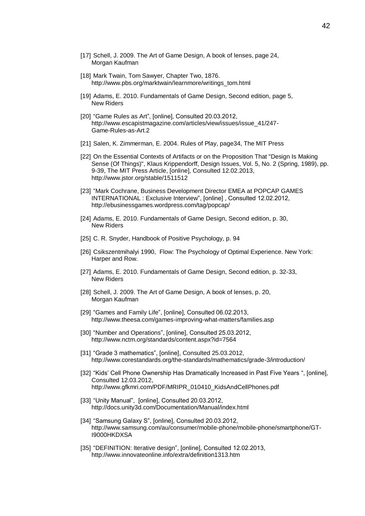- [17] Schell, J. 2009. The Art of Game Design, A book of lenses, page 24, Morgan Kaufman
- [18] Mark Twain, Tom Sawyer, Chapter Two, 1876. http://www.pbs.org/marktwain/learnmore/writings\_tom.html
- [19] Adams, E. 2010. Fundamentals of Game Design, Second edition, page 5, New Riders
- [20] "Game Rules as Art", [online], Consulted 20.03.2012, http://www.escapistmagazine.com/articles/view/issues/issue\_41/247- Game-Rules-as-Art.2
- [21] Salen, K. Zimmerman, E. 2004. Rules of Play, page34, The MIT Press
- [22] On the Essential Contexts of Artifacts or on the Proposition That "Design Is Making Sense (Of Things)", Klaus Krippendorff, Design Issues, Vol. 5, No. 2 (Spring, 1989), pp. 9-39, The MIT Press Article, [online], Consulted 12.02.2013, http://www.jstor.org/stable/1511512
- [23] "Mark Cochrane, Business Development Director EMEA at POPCAP GAMES INTERNATIONAL : Exclusive Interview", [online] , Consulted 12.02.2012, http://ebusinessgames.wordpress.com/tag/popcap/
- [24] Adams, E. 2010. Fundamentals of Game Design, Second edition, p. 30, New Riders
- [25] C. R. Snyder, Handbook of Positive Psychology, p. 94
- [26] Csikszentmihalyi 1990, Flow: The Psychology of Optimal Experience. New York: Harper and Row.
- [27] Adams, E. 2010. Fundamentals of Game Design, Second edition, p. 32-33, New Riders
- [28] Schell, J. 2009. The Art of Game Design, A book of lenses, p. 20, Morgan Kaufman
- [29] "Games and Family Life", [online], Consulted 06.02.2013, http://www.theesa.com/games-improving-what-matters/families.asp
- [30] "Number and Operations", [online], Consulted 25.03.2012, http://www.nctm.org/standards/content.aspx?id=7564
- [31] "Grade 3 mathematics", [online], Consulted 25.03.2012, http://www.corestandards.org/the-standards/mathematics/grade-3/introduction/
- [32] "Kids' Cell Phone Ownership Has Dramatically Increased in Past Five Years ", [online], Consulted 12.03.2012, http://www.gfkmri.com/PDF/MRIPR\_010410\_KidsAndCellPhones.pdf
- [33] "Unity Manual", [online], Consulted 20.03.2012, http://docs.unity3d.com/Documentation/Manual/index.html
- [34] "Samsung Galaxy S", [online], Consulted 20.03.2012, http://www.samsung.com/au/consumer/mobile-phone/mobile-phone/smartphone/GT-I9000HKDXSA
- [35] "DEFINITION: Iterative design", [online], Consulted 12.02.2013, http://www.innovateonline.info/extra/definition1313.htm